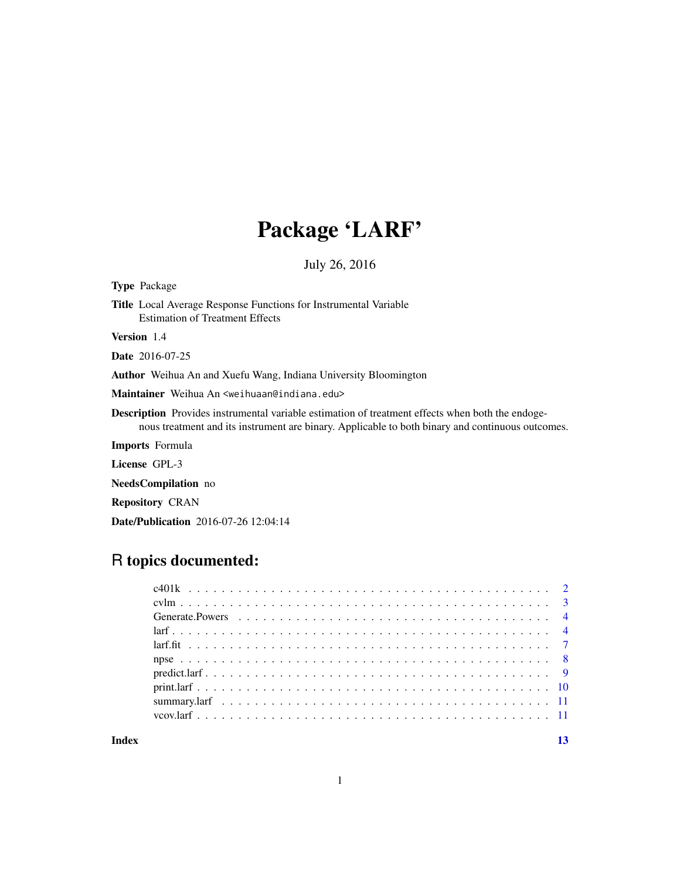# Package 'LARF'

July 26, 2016

Type Package Title Local Average Response Functions for Instrumental Variable Estimation of Treatment Effects Version 1.4 Date 2016-07-25 Author Weihua An and Xuefu Wang, Indiana University Bloomington Maintainer Weihua An <weihuaan@indiana.edu> Description Provides instrumental variable estimation of treatment effects when both the endogenous treatment and its instrument are binary. Applicable to both binary and continuous outcomes. Imports Formula License GPL-3 NeedsCompilation no Repository CRAN

# R topics documented:

Date/Publication 2016-07-26 12:04:14

**Index** [13](#page-12-0)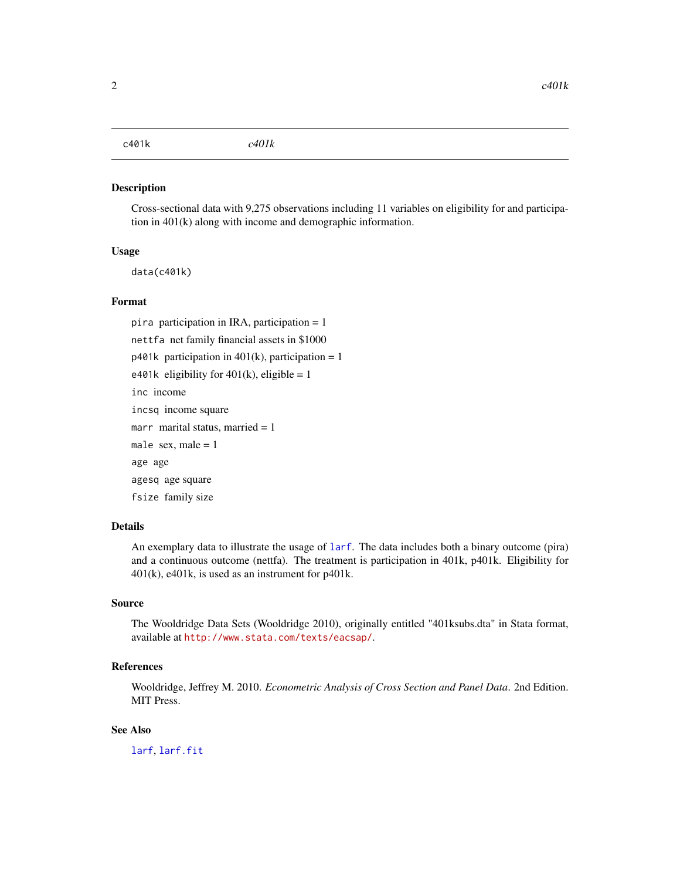<span id="page-1-1"></span><span id="page-1-0"></span>c401k *c401k*

#### Description

Cross-sectional data with 9,275 observations including 11 variables on eligibility for and participation in 401(k) along with income and demographic information.

#### Usage

data(c401k)

#### Format

pira participation in IRA, participation = 1 nettfa net family financial assets in \$1000  $p401k$  participation in  $401(k)$ , participation = 1 e401k eligibility for  $401(k)$ , eligible = 1 inc income incsq income square marr marital status, married  $= 1$ male sex, male  $= 1$ age age agesq age square fsize family size

# Details

An exemplary data to illustrate the usage of [larf](#page-3-1). The data includes both a binary outcome (pira) and a continuous outcome (nettfa). The treatment is participation in 401k, p401k. Eligibility for 401(k), e401k, is used as an instrument for p401k.

#### Source

The Wooldridge Data Sets (Wooldridge 2010), originally entitled "401ksubs.dta" in Stata format, available at <http://www.stata.com/texts/eacsap/>.

# References

Wooldridge, Jeffrey M. 2010. *Econometric Analysis of Cross Section and Panel Data*. 2nd Edition. MIT Press.

#### See Also

[larf](#page-3-1), [larf.fit](#page-6-1)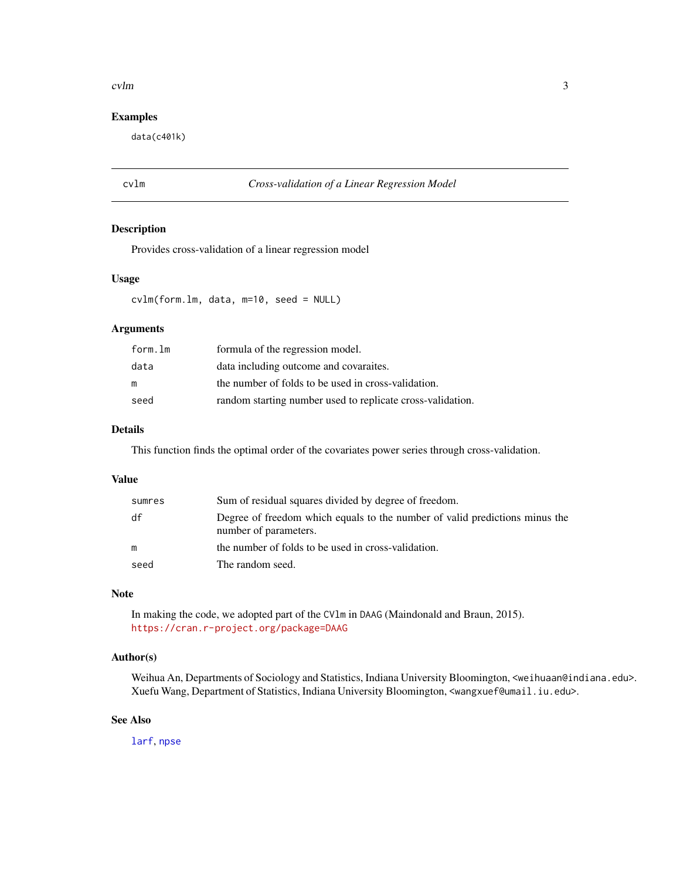#### <span id="page-2-0"></span>cvlm 3

# Examples

data(c401k)

#### cvlm *Cross-validation of a Linear Regression Model*

#### Description

Provides cross-validation of a linear regression model

#### Usage

cvlm(form.lm, data, m=10, seed = NULL)

# Arguments

| form.lm | formula of the regression model.                           |
|---------|------------------------------------------------------------|
| data    | data including outcome and covaraites.                     |
| m       | the number of folds to be used in cross-validation.        |
| seed    | random starting number used to replicate cross-validation. |

# Details

This function finds the optimal order of the covariates power series through cross-validation.

#### Value

| sumres | Sum of residual squares divided by degree of freedom.                                                |
|--------|------------------------------------------------------------------------------------------------------|
| df     | Degree of freedom which equals to the number of valid predictions minus the<br>number of parameters. |
| m      | the number of folds to be used in cross-validation.                                                  |
| seed   | The random seed.                                                                                     |

# Note

In making the code, we adopted part of the CVlm in DAAG (Maindonald and Braun, 2015). <https://cran.r-project.org/package=DAAG>

# Author(s)

Weihua An, Departments of Sociology and Statistics, Indiana University Bloomington, <weihuaan@indiana.edu>. Xuefu Wang, Department of Statistics, Indiana University Bloomington, <wangxuef@umail.iu.edu>.

#### See Also

[larf](#page-3-1), [npse](#page-7-1)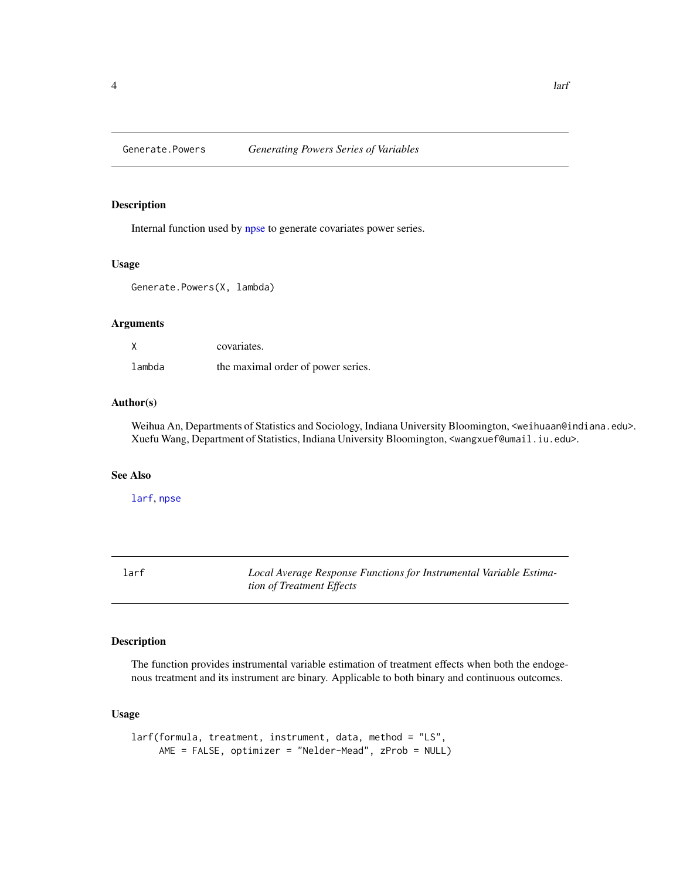<span id="page-3-0"></span>

#### Description

Internal function used by [npse](#page-7-1) to generate covariates power series.

#### Usage

Generate.Powers(X, lambda)

# Arguments

|        | covariates.                        |
|--------|------------------------------------|
| lambda | the maximal order of power series. |

# Author(s)

Weihua An, Departments of Statistics and Sociology, Indiana University Bloomington, <weihuaan@indiana.edu>. Xuefu Wang, Department of Statistics, Indiana University Bloomington, <wangxuef@umail.iu.edu>.

#### See Also

[larf](#page-3-1), [npse](#page-7-1)

<span id="page-3-1"></span>larf *Local Average Response Functions for Instrumental Variable Estimation of Treatment Effects*

# Description

The function provides instrumental variable estimation of treatment effects when both the endogenous treatment and its instrument are binary. Applicable to both binary and continuous outcomes.

#### Usage

```
larf(formula, treatment, instrument, data, method = "LS",
    AME = FALSE, optimizer = "Nelder-Mead", zProb = NULL)
```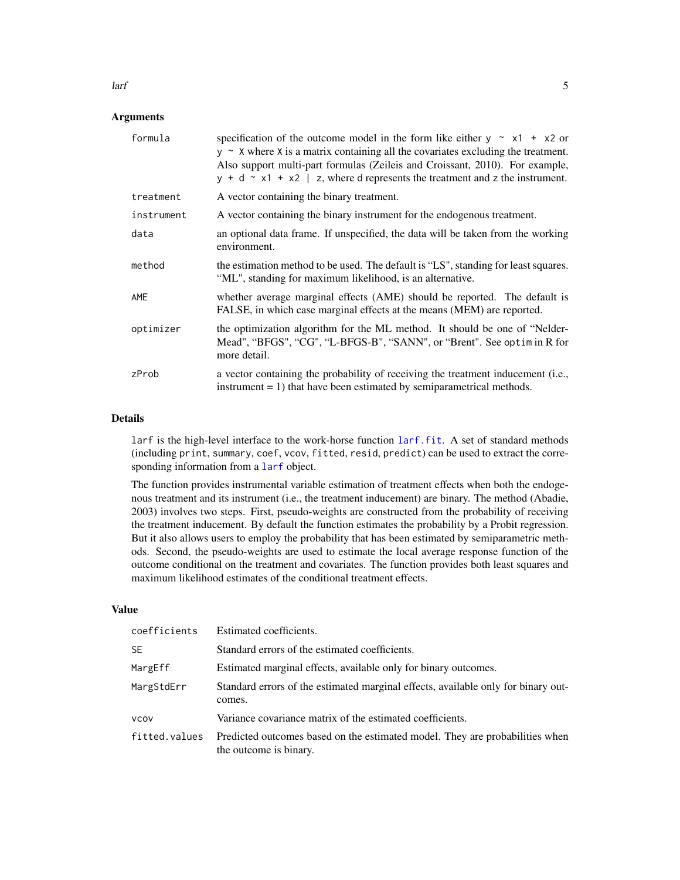#### **Arguments**

| formula    | specification of the outcome model in the form like either $y \sim x1 + x2$ or<br>$y \sim X$ where X is a matrix containing all the covariates excluding the treatment.<br>Also support multi-part formulas (Zeileis and Croissant, 2010). For example,<br>$y + d \sim x1 + x2$   z, where d represents the treatment and z the instrument. |
|------------|---------------------------------------------------------------------------------------------------------------------------------------------------------------------------------------------------------------------------------------------------------------------------------------------------------------------------------------------|
| treatment  | A vector containing the binary treatment.                                                                                                                                                                                                                                                                                                   |
| instrument | A vector containing the binary instrument for the endogenous treatment.                                                                                                                                                                                                                                                                     |
| data       | an optional data frame. If unspecified, the data will be taken from the working<br>environment.                                                                                                                                                                                                                                             |
| method     | the estimation method to be used. The default is "LS", standing for least squares.<br>"ML", standing for maximum likelihood, is an alternative.                                                                                                                                                                                             |
| AME        | whether average marginal effects (AME) should be reported. The default is<br>FALSE, in which case marginal effects at the means (MEM) are reported.                                                                                                                                                                                         |
| optimizer  | the optimization algorithm for the ML method. It should be one of "Nelder-<br>Mead", "BFGS", "CG", "L-BFGS-B", "SANN", or "Brent". See optimin R for<br>more detail.                                                                                                                                                                        |
| zProb      | a vector containing the probability of receiving the treatment inducement (i.e.,<br>instrument $= 1$ ) that have been estimated by semiparametrical methods.                                                                                                                                                                                |

#### Details

larf is the high-level interface to the work-horse function [larf.fit](#page-6-1). A set of standard methods (including print, summary, coef, vcov, fitted, resid, predict) can be used to extract the corresponding information from a [larf](#page-3-1) object.

The function provides instrumental variable estimation of treatment effects when both the endogenous treatment and its instrument (i.e., the treatment inducement) are binary. The method (Abadie, 2003) involves two steps. First, pseudo-weights are constructed from the probability of receiving the treatment inducement. By default the function estimates the probability by a Probit regression. But it also allows users to employ the probability that has been estimated by semiparametric methods. Second, the pseudo-weights are used to estimate the local average response function of the outcome conditional on the treatment and covariates. The function provides both least squares and maximum likelihood estimates of the conditional treatment effects.

#### Value

| coefficients  | Estimated coefficients.                                                                                |
|---------------|--------------------------------------------------------------------------------------------------------|
| <b>SE</b>     | Standard errors of the estimated coefficients.                                                         |
| MargEff       | Estimated marginal effects, available only for binary outcomes.                                        |
| MargStdErr    | Standard errors of the estimated marginal effects, available only for binary out-<br>comes.            |
| <b>VCOV</b>   | Variance covariance matrix of the estimated coefficients.                                              |
| fitted.values | Predicted outcomes based on the estimated model. They are probabilities when<br>the outcome is binary. |

<span id="page-4-0"></span> $\text{larf}$  5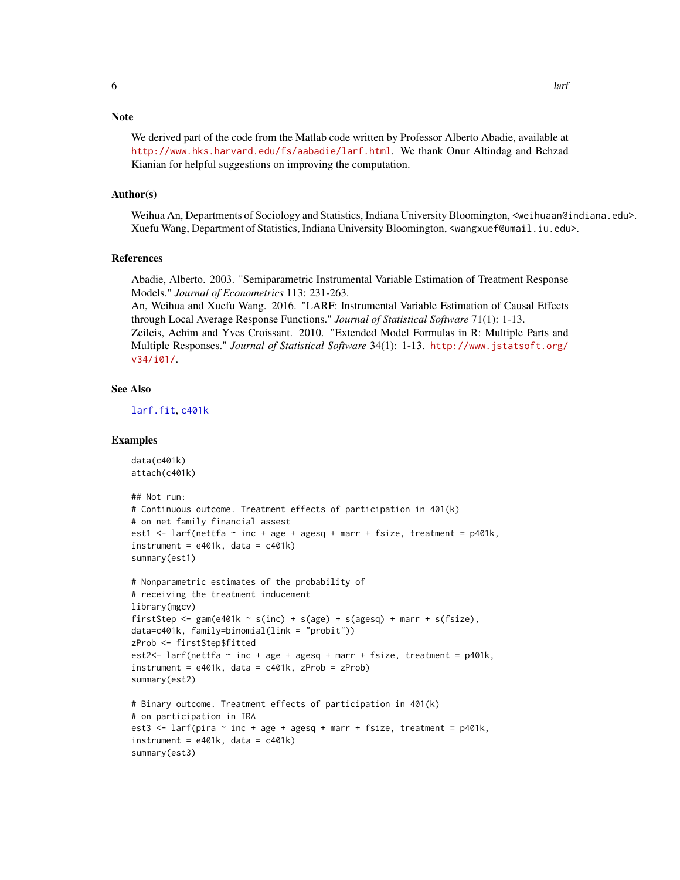#### <span id="page-5-0"></span>**Note**

We derived part of the code from the Matlab code written by Professor Alberto Abadie, available at <http://www.hks.harvard.edu/fs/aabadie/larf.html>. We thank Onur Altindag and Behzad Kianian for helpful suggestions on improving the computation.

#### Author(s)

Weihua An, Departments of Sociology and Statistics, Indiana University Bloomington, <weihuaan@indiana.edu>. Xuefu Wang, Department of Statistics, Indiana University Bloomington, <wangxuef@umail.iu.edu>.

#### References

Abadie, Alberto. 2003. "Semiparametric Instrumental Variable Estimation of Treatment Response Models." *Journal of Econometrics* 113: 231-263.

An, Weihua and Xuefu Wang. 2016. "LARF: Instrumental Variable Estimation of Causal Effects through Local Average Response Functions." *Journal of Statistical Software* 71(1): 1-13. Zeileis, Achim and Yves Croissant. 2010. "Extended Model Formulas in R: Multiple Parts and Multiple Responses." *Journal of Statistical Software* 34(1): 1-13. [http://www.jstatsoft.org/](http://www.jstatsoft.org/v34/i01/) [v34/i01/](http://www.jstatsoft.org/v34/i01/).

#### See Also

[larf.fit](#page-6-1), [c401k](#page-1-1)

#### Examples

```
data(c401k)
attach(c401k)
## Not run:
# Continuous outcome. Treatment effects of participation in 401(k)
# on net family financial assest
est1 \le larf(nettfa \sim inc + age + agesq + marr + fsize, treatment = p401k,
instrument = e401k, data = c401k)
summary(est1)
# Nonparametric estimates of the probability of
# receiving the treatment inducement
library(mgcv)
firstStep <- gam(e401k \sim s(inc) + s(age) + s(agesq) + marr + s(fsize),
data=c401k, family=binomial(link = "probit"))
zProb <- firstStep$fitted
est2<- larf(nettfa \sim inc + age + agesq + marr + fsize, treatment = p401k,
instrument = e401k, data = c401k, zProb = zProb)
summary(est2)
# Binary outcome. Treatment effects of participation in 401(k)
# on participation in IRA
est3 \leq larf(pira \sim inc + age + agesq + marr + fsize, treatment = p401k,
instrument = e401k, data = c401k)
summary(est3)
```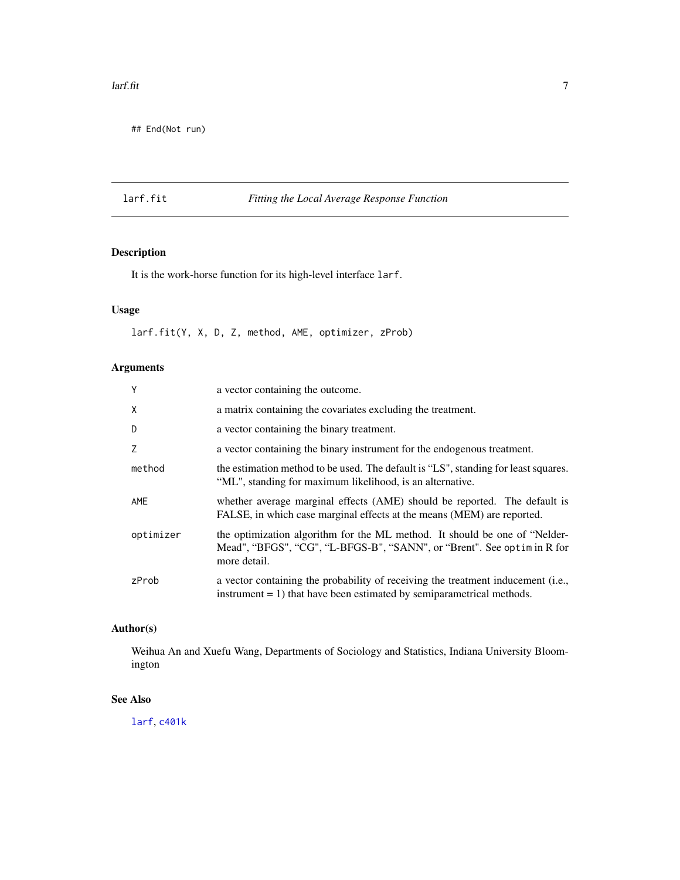#### <span id="page-6-0"></span> $\text{larf.fit}$  7

## End(Not run)

# <span id="page-6-1"></span>larf.fit *Fitting the Local Average Response Function*

# Description

It is the work-horse function for its high-level interface larf.

# Usage

larf.fit(Y, X, D, Z, method, AME, optimizer, zProb)

# Arguments

| Y         | a vector containing the outcome.                                                                                                                                     |
|-----------|----------------------------------------------------------------------------------------------------------------------------------------------------------------------|
| Χ         | a matrix containing the covariates excluding the treatment.                                                                                                          |
| D         | a vector containing the binary treatment.                                                                                                                            |
| 7         | a vector containing the binary instrument for the endogenous treatment.                                                                                              |
| method    | the estimation method to be used. The default is "LS", standing for least squares.<br>"ML", standing for maximum likelihood, is an alternative.                      |
| AME       | whether average marginal effects (AME) should be reported. The default is<br>FALSE, in which case marginal effects at the means (MEM) are reported.                  |
| optimizer | the optimization algorithm for the ML method. It should be one of "Nelder-<br>Mead", "BFGS", "CG", "L-BFGS-B", "SANN", or "Brent". See optimin R for<br>more detail. |
| zProb     | a vector containing the probability of receiving the treatment inducement (i.e.,<br>instrument $= 1$ ) that have been estimated by semiparametrical methods.         |

# Author(s)

Weihua An and Xuefu Wang, Departments of Sociology and Statistics, Indiana University Bloomington

# See Also

[larf](#page-3-1), [c401k](#page-1-1)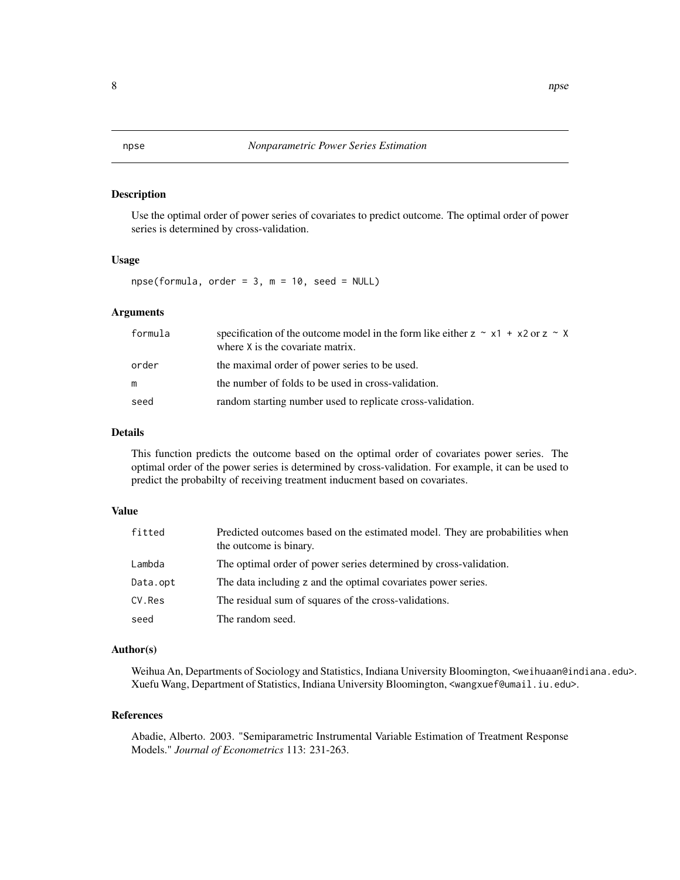#### <span id="page-7-1"></span><span id="page-7-0"></span>Description

Use the optimal order of power series of covariates to predict outcome. The optimal order of power series is determined by cross-validation.

#### Usage

 $npse(formula, order = 3, m = 10, seed = NULL)$ 

# Arguments

| formula | specification of the outcome model in the form like either $z \sim x1 + x2$ or $z \sim x$<br>where X is the covariate matrix. |
|---------|-------------------------------------------------------------------------------------------------------------------------------|
| order   | the maximal order of power series to be used.                                                                                 |
|         | the number of folds to be used in cross-validation.                                                                           |
| seed    | random starting number used to replicate cross-validation.                                                                    |

#### Details

This function predicts the outcome based on the optimal order of covariates power series. The optimal order of the power series is determined by cross-validation. For example, it can be used to predict the probabilty of receiving treatment inducment based on covariates.

# Value

| fitted   | Predicted outcomes based on the estimated model. They are probabilities when<br>the outcome is binary. |
|----------|--------------------------------------------------------------------------------------------------------|
| Lambda   | The optimal order of power series determined by cross-validation.                                      |
| Data.opt | The data including z and the optimal covariates power series.                                          |
| CV.Res   | The residual sum of squares of the cross-validations.                                                  |
| seed     | The random seed.                                                                                       |

#### Author(s)

Weihua An, Departments of Sociology and Statistics, Indiana University Bloomington, <weihuaan@indiana.edu>. Xuefu Wang, Department of Statistics, Indiana University Bloomington, <wangxuef@umail.iu.edu>.

#### References

Abadie, Alberto. 2003. "Semiparametric Instrumental Variable Estimation of Treatment Response Models." *Journal of Econometrics* 113: 231-263.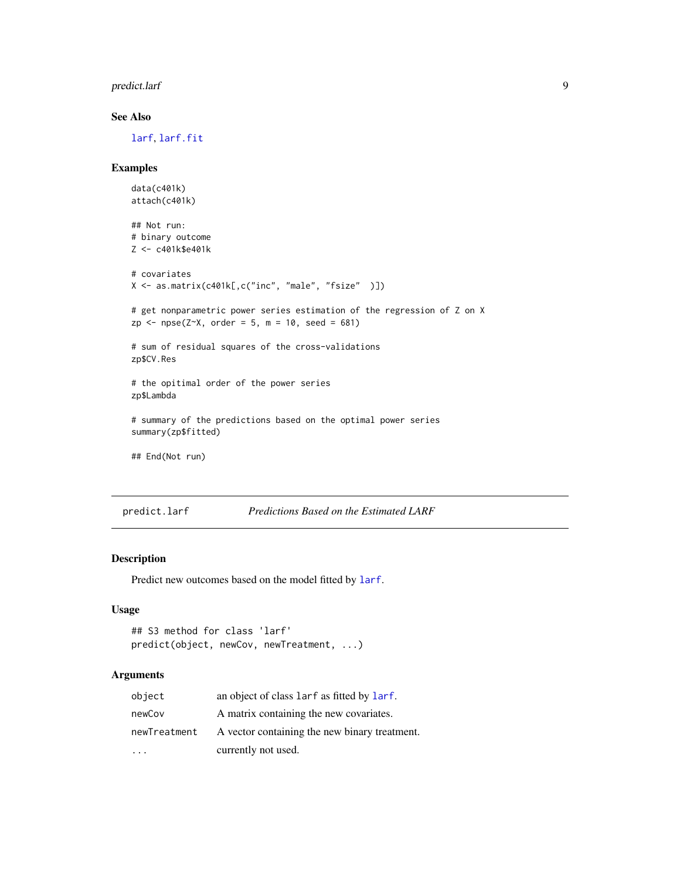# <span id="page-8-0"></span>predict.larf 9

### See Also

[larf](#page-3-1), [larf.fit](#page-6-1)

# Examples

```
data(c401k)
attach(c401k)
## Not run:
# binary outcome
Z <- c401k$e401k
# covariates
X <- as.matrix(c401k[,c("inc", "male", "fsize" )])
# get nonparametric power series estimation of the regression of Z on X
zp \leq npse(Z \sim X, order = 5, m = 10, seed = 681)# sum of residual squares of the cross-validations
zp$CV.Res
# the opitimal order of the power series
zp$Lambda
# summary of the predictions based on the optimal power series
summary(zp$fitted)
## End(Not run)
```

```
predict.larf Predictions Based on the Estimated LARF
```
#### Description

Predict new outcomes based on the model fitted by [larf](#page-3-1).

#### Usage

```
## S3 method for class 'larf'
predict(object, newCov, newTreatment, ...)
```
#### Arguments

| object       | an object of class larf as fitted by larf.    |
|--------------|-----------------------------------------------|
| newCov       | A matrix containing the new covariates.       |
| newTreatment | A vector containing the new binary treatment. |
|              | currently not used.                           |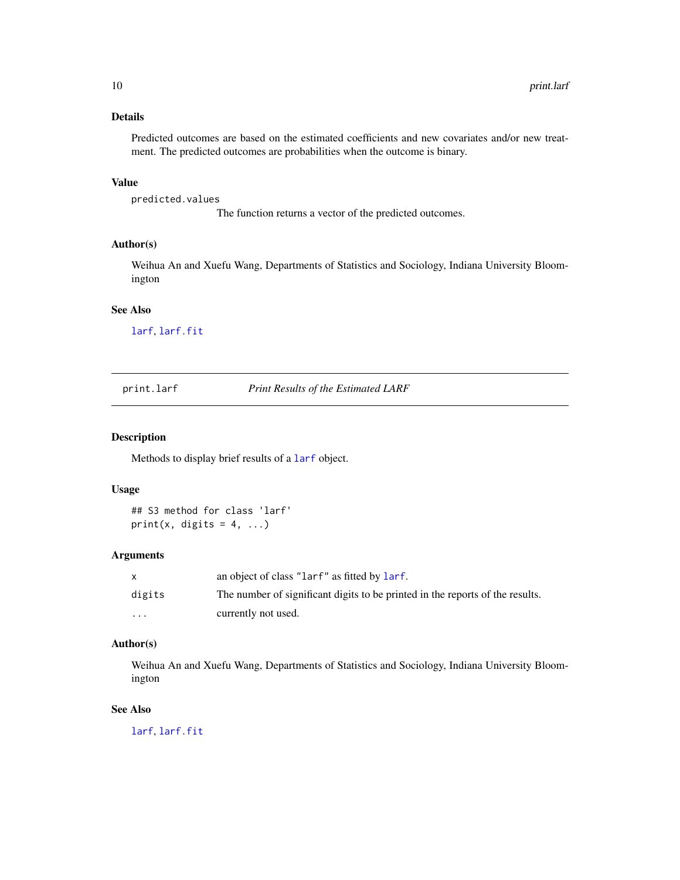# <span id="page-9-0"></span>Details

Predicted outcomes are based on the estimated coefficients and new covariates and/or new treatment. The predicted outcomes are probabilities when the outcome is binary.

# Value

predicted.values

The function returns a vector of the predicted outcomes.

# Author(s)

Weihua An and Xuefu Wang, Departments of Statistics and Sociology, Indiana University Bloomington

# See Also

[larf](#page-3-1), [larf.fit](#page-6-1)

print.larf *Print Results of the Estimated LARF*

#### Description

Methods to display brief results of a [larf](#page-3-1) object.

# Usage

## S3 method for class 'larf' print(x, digits =  $4, ...$ )

# Arguments

| $\mathsf{x}$ | an object of class "larf" as fitted by larf.                                  |
|--------------|-------------------------------------------------------------------------------|
| digits       | The number of significant digits to be printed in the reports of the results. |
| $\cdots$     | currently not used.                                                           |

# Author(s)

Weihua An and Xuefu Wang, Departments of Statistics and Sociology, Indiana University Bloomington

# See Also

[larf](#page-3-1), [larf.fit](#page-6-1)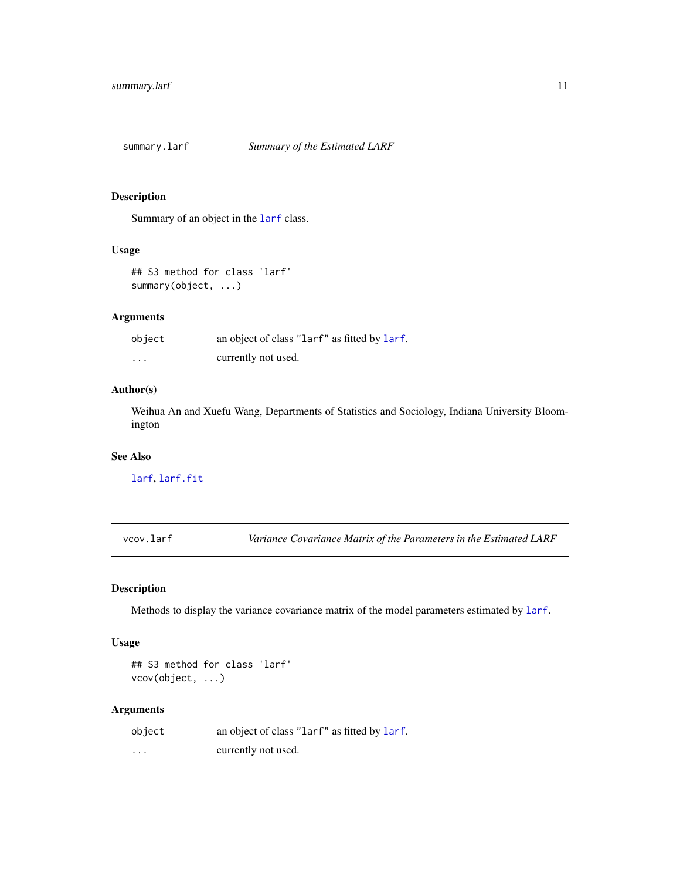<span id="page-10-0"></span>

#### Description

Summary of an object in the [larf](#page-3-1) class.

# Usage

```
## S3 method for class 'larf'
summary(object, ...)
```
# Arguments

| object   | an object of class "larf" as fitted by larf. |
|----------|----------------------------------------------|
| $\cdots$ | currently not used.                          |

#### Author(s)

Weihua An and Xuefu Wang, Departments of Statistics and Sociology, Indiana University Bloomington

# See Also

[larf](#page-3-1), [larf.fit](#page-6-1)

vcov.larf *Variance Covariance Matrix of the Parameters in the Estimated LARF*

# Description

Methods to display the variance covariance matrix of the model parameters estimated by [larf](#page-3-1).

# Usage

```
## S3 method for class 'larf'
vcov(object, ...)
```
#### Arguments

| object   | an object of class "larf" as fitted by larf. |
|----------|----------------------------------------------|
| $\cdots$ | currently not used.                          |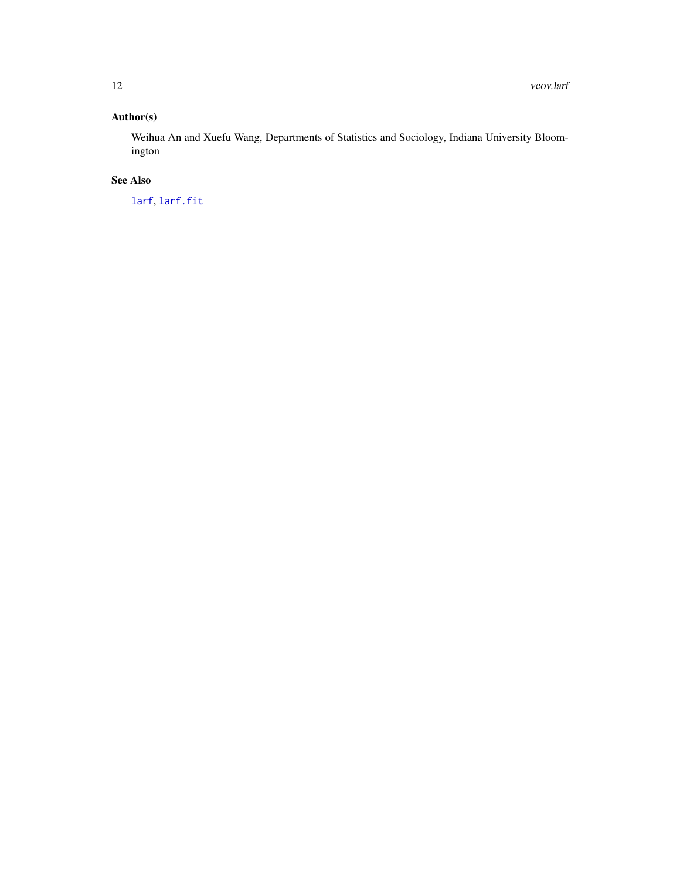# <span id="page-11-0"></span>Author(s)

Weihua An and Xuefu Wang, Departments of Statistics and Sociology, Indiana University Bloomington

# See Also

[larf](#page-3-1), [larf.fit](#page-6-1)